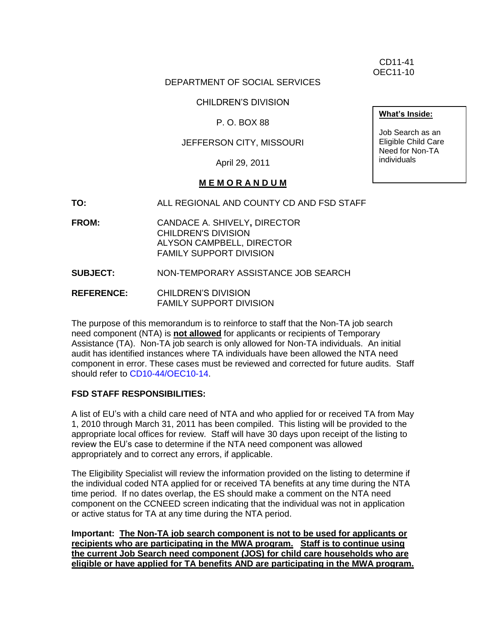CD11-41 OEC11-10

### DEPARTMENT OF SOCIAL SERVICES

CHILDREN'S DIVISION

P. O. BOX 88

## JEFFERSON CITY, MISSOURI

April 29, 2011

### **M E M O R A N D U M**

**TO:** ALL REGIONAL AND COUNTY CD AND FSD STAFF

**FROM:** CANDACE A. SHIVELY**,** DIRECTOR CHILDREN'S DIVISION ALYSON CAMPBELL, DIRECTOR FAMILY SUPPORT DIVISION

**SUBJECT:** NON-TEMPORARY ASSISTANCE JOB SEARCH

**REFERENCE:** CHILDREN'S DIVISION FAMILY SUPPORT DIVISION

The purpose of this memorandum is to reinforce to staff that the Non-TA job search need component (NTA) is **not allowed** for applicants or recipients of Temporary Assistance (TA). Non-TA job search is only allowed for Non-TA individuals. An initial audit has identified instances where TA individuals have been allowed the NTA need component in error. These cases must be reviewed and corrected for future audits. Staff should refer to [CD10-44/OEC10-14.](http://dss.mo.gov/cd/info/memos/2010/cd10-044.pdf)

#### **FSD STAFF RESPONSIBILITIES:**

A list of EU's with a child care need of NTA and who applied for or received TA from May 1, 2010 through March 31, 2011 has been compiled. This listing will be provided to the appropriate local offices for review. Staff will have 30 days upon receipt of the listing to review the EU's case to determine if the NTA need component was allowed appropriately and to correct any errors, if applicable.

The Eligibility Specialist will review the information provided on the listing to determine if the individual coded NTA applied for or received TA benefits at any time during the NTA time period. If no dates overlap, the ES should make a comment on the NTA need component on the CCNEED screen indicating that the individual was not in application or active status for TA at any time during the NTA period.

**Important: The Non-TA job search component is not to be used for applicants or recipients who are participating in the MWA program. Staff is to continue using the current Job Search need component (JOS) for child care households who are eligible or have applied for TA benefits AND are participating in the MWA program.** 

**What's Inside:**

Job Search as an Eligible Child Care Need for Non-TA individuals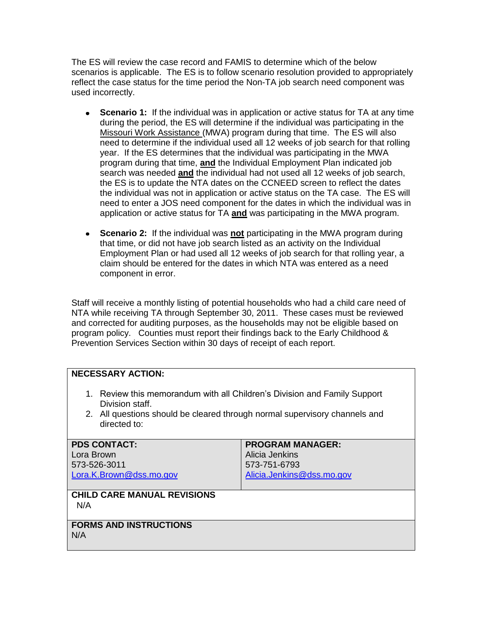The ES will review the case record and FAMIS to determine which of the below scenarios is applicable. The ES is to follow scenario resolution provided to appropriately reflect the case status for the time period the Non-TA job search need component was used incorrectly.

- **Scenario 1:** If the individual was in application or active status for TA at any time during the period, the ES will determine if the individual was participating in the Missouri Work Assistance (MWA) program during that time. The ES will also need to determine if the individual used all 12 weeks of job search for that rolling year. If the ES determines that the individual was participating in the MWA program during that time, **and** the Individual Employment Plan indicated job search was needed **and** the individual had not used all 12 weeks of job search, the ES is to update the NTA dates on the CCNEED screen to reflect the dates the individual was not in application or active status on the TA case. The ES will need to enter a JOS need component for the dates in which the individual was in application or active status for TA **and** was participating in the MWA program.
- **Scenario 2:** If the individual was **not** participating in the MWA program during that time, or did not have job search listed as an activity on the Individual Employment Plan or had used all 12 weeks of job search for that rolling year, a claim should be entered for the dates in which NTA was entered as a need component in error.

Staff will receive a monthly listing of potential households who had a child care need of NTA while receiving TA through September 30, 2011. These cases must be reviewed and corrected for auditing purposes, as the households may not be eligible based on program policy. Counties must report their findings back to the Early Childhood & Prevention Services Section within 30 days of receipt of each report.

# **NECESSARY ACTION:**

- 1. Review this memorandum with all Children's Division and Family Support Division staff.
- 2. All questions should be cleared through normal supervisory channels and directed to:

| <b>PDS CONTACT:</b><br>Lora Brown         | <b>PROGRAM MANAGER:</b><br>Alicia Jenkins |
|-------------------------------------------|-------------------------------------------|
| 573-526-3011                              | 573-751-6793                              |
| Lora.K.Brown@dss.mo.gov                   | Alicia.Jenkins@dss.mo.gov                 |
|                                           |                                           |
| <b>CHILD CARE MANUAL REVISIONS</b><br>N/A |                                           |
| <b>FORMS AND INSTRUCTIONS</b>             |                                           |
| N/A                                       |                                           |